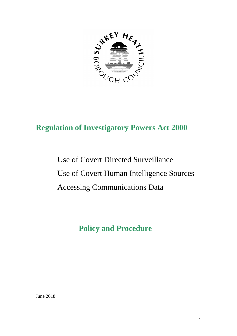

# **Regulation of Investigatory Powers Act 2000**

Use of Covert Directed Surveillance Use of Covert Human Intelligence Sources Accessing Communications Data

# **Policy and Procedure**

June 2018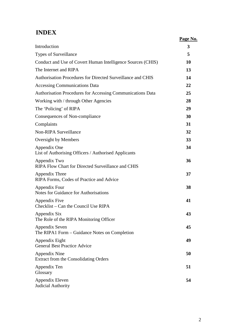# **INDEX**

|                                                                      | Page No. |
|----------------------------------------------------------------------|----------|
| Introduction                                                         | 3        |
| Types of Surveillance                                                | 5        |
| Conduct and Use of Covert Human Intelligence Sources (CHIS)          | 10       |
| The Internet and RIPA                                                | 13       |
| Authorisation Procedures for Directed Surveillance and CHIS          | 14       |
| <b>Accessing Communications Data</b>                                 | 22       |
| Authorisation Procedures for Accessing Communications Data           | 25       |
| Working with / through Other Agencies                                | 28       |
| The 'Policing' of RIPA                                               | 29       |
| Consequences of Non-compliance                                       | 30       |
| Complaints                                                           | 31       |
| <b>Non-RIPA Surveillance</b>                                         | 32       |
| Oversight by Members                                                 | 33       |
| Appendix One<br>List of Authorising Officers / Authorised Applicants | 34       |
| Appendix Two<br>RIPA Flow Chart for Directed Surveillance and CHIS   | 36       |
| Appendix Three<br>RIPA Forms, Codes of Practice and Advice           | 37       |
| Appendix Four<br>Notes for Guidance for Authorisations               | 38       |
| Appendix Five<br>Checklist – Can the Council Use RIPA                | 41       |
| Appendix Six<br>The Role of the RIPA Monitoring Officer              | 43       |
| Appendix Seven<br>The RIPA1 Form - Guidance Notes on Completion      | 45       |
| Appendix Eight<br><b>General Best Practice Advice</b>                | 49       |
| Appendix Nine<br>Extract from the Consolidating Orders               | 50       |
| Appendix Ten<br>Glossary                                             | 51       |
| Appendix Eleven<br>Judicial Authority                                | 54       |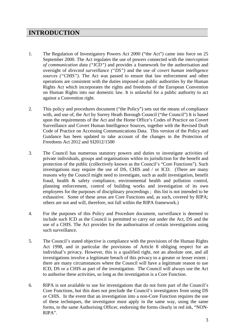### **INTRODUCTION**

- 1. The Regulation of Investigatory Powers Act 2000 ("the Act") came into force on 25 September 2000. The Act regulates the use of powers connected with the *interception of communication data ("ICD")* and provides a framework for the authorisation and oversight of *directed surveillance ("DS")* and the use of *covert human intelligence sources ("CHIS")*. The Act was passed to ensure that law enforcement and other operations are consistent with the duties imposed on public authorities by the Human Rights Act which incorporates the rights and freedoms of the European Convention on Human Rights into our domestic law. It is unlawful for a public authority to act against a Convention right.
- 2. This policy and procedures document ("the Policy") sets out the means of compliance with, and use of, the Act by Surrey Heath Borough Council ("the Council") It is based upon the requirements of the Act and the Home Office's Codes of Practice on Covert Surveillance and Covert Human Intelligence Sources, together with the Revised Draft Code of Practice on Accessing Communications Data. This version of the Policy and Guidance has been updated to take account of the changes in the Protection of Freedoms Act 2012 and SI2012/1500
- 3. The Council has numerous statutory powers and duties to investigate activities of private individuals, groups and organisations within its jurisdiction for the benefit and protection of the public (collectively known as the Council's "Core Functions"). Such investigations may require the use of DS, CHIS and / or ICD. (There are many reasons why the Council might need to investigate, such as audit investigation, benefit fraud, health & safety compliance, environmental health and pollution control, planning enforcement, control of building works and investigation of its own employees for the purposes of disciplinary proceedings ; this list is not intended to be exhaustive. Some of these areas are Core Functions and, as such, covered by RIPA; others are not and will, therefore, not fall within the RIPA framework.)
- 4. For the purposes of this Policy and Procedure document, surveillance is deemed to include such ICD as the Council is permitted to carry out under the Act, DS and the use of a CHIS. The Act provides for the authorisation of certain investigations using such surveillance.
- 5. The Council's stated objective is compliance with the provisions of the Human Rights Act 1998, and in particular the provisions of Article 8 obliging respect for an individual's privacy. However, this is a qualified right, not an absolute one, and all investigations involve a legitimate breach of this privacy to a greater or lesser extent ; there are many circumstances where the Council will have a legitimate reason to use ICD, DS or a CHIS as part of the investigation. The Council will always use the Act to authorise these activities, so long as the investigation is a Core Function.
- 6. RIPA is not available to use for investigations that do not form part of the Council's Core Functions, but this does not preclude the Council's investigators from using DS or CHIS. In the event that an investigation into a non-Core Function requires the use of these techniques, the investigator must apply in the same way, using the same forms, to the same Authorising Officer, endorsing the forms clearly in red ink, "NON-RIPA".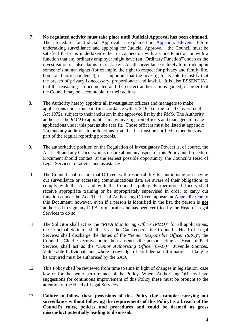- 7. **No regulated activity must take place until Judicial Approval has been obtained.** The procedure for Judicial Approval is explained in Appendix Eleven. Before undertaking surveillance and applying for Judicial Approval , the Council must be satisfied that it is undertaken either in connection with a Core Function or with a function that any ordinary employer might have (an "Ordinary Function"), such as the investigation of false claims for sick pay. As all surveillance is likely to intrude upon someone's human rights (for example, the right to respect for privacy and family life, home and correspondence), it is important that the investigator is able to justify that the breach of privacy is necessary, proportionate and lawful. It is also ESSENTIAL that the reasoning is documented and the correct authorisations gained, in order that the Council may be accountable for their actions.
- 8. The Authority hereby appoints all investigation officers and managers to make applications under this part (in accordance with s. 223(1) of the Local Government Act 1972), subject to their inclusion in the approved list by the *RMO*. The Authority authorises the *RMO* to appoint as many investigation officers and managers to make applications under this part as she sees fit. Those officers must be listed at appendix 1(a) and any additions to or deletions from that list must be notified to members as part of the regular reporting protocols.
- 9. The authoritative position on the Regulation of Investigatory Powers is, of course, the Act itself and any Officer who is unsure about any aspect of this Policy and Procedure Document should contact, at the earliest possible opportunity, the Council's Head of Legal Services for advice and assistance.
- 10. The Council shall ensure that Officers with responsibility for authorising or carrying out surveillance or accessing communications data are aware of their obligations to comply with the Act and with the Council's policy. Furthermore, Officers shall receive appropriate training or be appropriately supervised in order to carry out functions under the Act. The list of Authorising Officers appears at Appendix One to this Document; however, even if a person is identified in the list, the person is **not** authorised to sign any RIPA forms **unless** he has been certified by the Head of Legal Services to do so.
- 11. The Solicitor shall act as the "*RIPA Monitoring Officer (RMO)*" for all applications, the Principal Solicitor shall act as the Gatekeeper", the Council's Head of Legal Services shall discharge the duties of the "*Senior Responsible Officer (SRO)*", the Council's Chief Executive or in their absence, the person acting as Head of Paid Service, shall act as the "*Senior Authorising Officer (SAO)*". Juvenile Sources, Vulnerable Individuals and where knowledge of confidential information is likely to be acquired must be authorised by the SAO.
- 12. This Policy shall be reviewed from time to time in light of changes in legislation, case law or for the better performance of the Policy. Where Authorising Officers have suggestions for continuous improvement of this Policy these must be brought to the attention of the Head of Legal Services.
- 13. **Failure to follow these provisions of this Policy (for example: carrying out surveillance without following the requirements of this Policy) is a breach of the Council's rules, policies and procedures and could be deemed as gross misconduct potentially leading to dismissal.**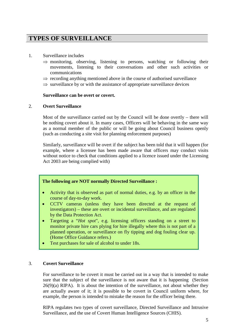### **TYPES OF SURVEILLANCE**

- 1. Surveillance includes
	- $\Rightarrow$  monitoring, observing, listening to persons, watching or following their movements, listening to their conversations and other such activities or communications
	- $\Rightarrow$  recording anything mentioned above in the course of authorised surveillance
	- $\Rightarrow$  surveillance by or with the assistance of appropriate surveillance devices

#### **Surveillance can be overt or covert.**

#### 2. **Overt Surveillance**

Most of the surveillance carried out by the Council will be done overtly – there will be nothing covert about it. In many cases, Officers will be behaving in the same way as a normal member of the public or will be going about Council business openly (such as conducting a site visit for planning enforcement purposes)

Similarly, surveillance will be overt if the subject has been told that it will happen (for example, where a licensee has been made aware that officers may conduct visits without notice to check that conditions applied to a licence issued under the Licensing Act 2003 are being complied with)

#### **The following are NOT normally Directed Surveillance :**

- Activity that is observed as part of normal duties, e.g. by an officer in the course of day-to-day work.
- CCTV cameras (unless they have been directed at the request of investigators) – these are overt or incidental surveillance, and are regulated by the Data Protection Act.
- Targeting a "*Hot spot*", e.g. licensing officers standing on a street to monitor private hire cars plying for hire illegally where this is not part of a planned operation, or surveillance on fly tipping and dog fouling clear up. (Home Office Guidance refers.)
- Test purchases for sale of alcohol to under 18s.

#### 3. **Covert Surveillance**

For surveillance to be covert it must be carried out in a way that is intended to make sure that the subject of the surveillance is not aware that it is happening (Section  $26(9)(a)$  RIPA). It is about the intention of the surveillance, not about whether they are actually aware of it; it is possible to be covert in Council uniform where, for example, the person is intended to mistake the reason for the officer being there.

RIPA regulates two types of covert surveillance, Directed Surveillance and Intrusive Surveillance, and the use of Covert Human Intelligence Sources (CHIS).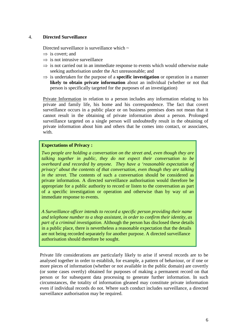#### 4. **Directed Surveillance**

Directed surveillance is surveillance which  $\sim$ 

- $\Rightarrow$  is covert; and
- $\Rightarrow$  is not intrusive surveillance
- $\Rightarrow$  is not carried out in an immediate response to events which would otherwise make seeking authorisation under the Act unreasonable; and
- ⇒ is undertaken for the purpose of a **specific investigation** or operation in a manner **likely to obtain private information** about an individual (whether or not that person is specifically targeted for the purposes of an investigation)

Private Information in relation to a person includes any information relating to his private and family life, his home and his correspondence. The fact that covert surveillance occurs in a public place or on business premises does not mean that it cannot result in the obtaining of private information about a person. Prolonged surveillance targeted on a single person will undoubtedly result in the obtaining of private information about him and others that he comes into contact, or associates, with.

#### **Expectations of Privacy :**

*Two people are holding a conversation on the street and, even though they are talking together in public, they do not expect their conversation to be overheard and recorded by anyone. They have a 'reasonable expectation of privacy' about the contents of that conversation, even though they are talking in the street.* The contents of such a conversation should be considered as private information. A directed surveillance authorisation would therefore be appropriate for a public authority to record or listen to the conversation as part of a specific investigation or operation and otherwise than by way of an immediate response to events.

*A Surveillance officer intends to record a specific person providing their name and telephone number to a shop assistant, in order to confirm their identity, as part of a criminal investigation.* Although the person has disclosed these details in a public place, there is nevertheless a reasonable expectation that the details are not being recorded separately for another purpose. A directed surveillance authorisation should therefore be sought.

Private life considerations are particularly likely to arise if several records are to be analysed together in order to establish, for example, a pattern of behaviour, or if one or more pieces of information (whether or not available in the public domain) are covertly (or some cases overtly) obtained for purposes of making a permanent record on that person or for subsequent data processing to generate further information. In such circumstances, the totality of information gleaned may constitute private information even if individual records do not. Where such conduct includes surveillance, a directed surveillance authorisation may be required.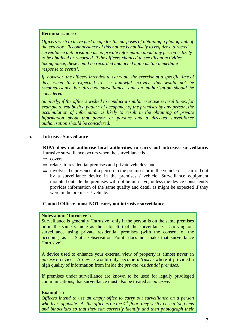#### **Reconnaissance :**

*Officers wish to drive past a café for the purposes of obtaining a photograph of the exterior. Reconnaissance of this nature is not likely to require a directed surveillance authorisation as no private information about any person is likely to be obtained or recorded. If the officers chanced to see illegal activities taking place, these could be recorded and acted upon as 'an immediate response to events'.*

*If, however, the officers intended to carry out the exercise at a specific time of day, when they expected to see unlawful activity, this would not be reconnaissance but directed surveillance, and an authorisation should be considered*.

*Similarly, if the officers wished to conduct a similar exercise several times, for example to establish a pattern of occupancy of the premises by any person, the accumulation of information is likely to result in the obtaining of private information about that person or persons and a directed surveillance authorisation should be considered*.

#### 5. **Intrusive Surveillance**

**RIPA does not authorise local authorities to carry out intrusive surveillance.**  Intrusive surveillance occurs when the surveillance is

- ⇒ covert
- $\Rightarrow$  relates to residential premises and private vehicles; and
- $\Rightarrow$  involves the presence of a person in the premises or in the vehicle or is carried out by a surveillance device in the premises / vehicle. Surveillance equipment mounted outside the premises will not be intrusive, unless the device consistently provides information of the same quality and detail as might be expected if they were in the premises / vehicle.

#### **Council Officers must NOT carry out intrusive surveillance**

#### **Notes about 'Intrusive' :**

Surveillance is generally 'Intrusive' only if the person is on the same premises or in the same vehicle as the subject(s) of the surveillance. Carrying out surveillance using private residential premises (with the consent of the occupier) as a 'Static Observation Point' does not make that surveillance 'Intrusive'.

A device used to enhance your external view of property is almost never an *intrusive* device. A device would only become *intrusive* where it provided a high quality of information from inside the *private residential premises*.

If premises under surveillance are known to be used for legally privileged communications, that surveillance must also be treated as *intrusive.*

#### **Examples :**

*Officers intend to use an empty office to carry out surveillance on a person who lives opposite. As the office is on the 4th floor, they wish to use a long lens and binoculars so that they can correctly identify and then photograph their*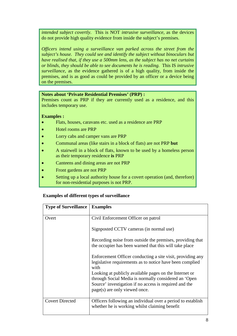*intended subject covertly.* This is NOT *intrusive surveillance*, as the devices do not provide high quality evidence from inside the subject's premises.

*Officers intend using a surveillance van parked across the street from the subject's house. They could see and identify the subject without binoculars but have realised that, if they use a 500mm lens, as the subject has no net curtains or blinds, they should be able to see documents he is reading.* This IS *intrusive surveillance*, as the evidence gathered is of a high quality, from inside the premises, and is as good as could be provided by an officer or a device being on the premises.

#### **Notes about 'Private Residential Premises' (PRP) :**

Premises count as PRP if they are currently used as a residence, and this includes temporary use.

#### **Examples :**

- Flats, houses, caravans etc. used as a residence are PRP
- Hotel rooms are PRP
- Lorry cabs and camper vans are PRP
- Communal areas (like stairs in a block of flats) are not PRP **but**
- A stairwell in a block of flats, known to be used by a homeless person as their temporary residence **is** PRP
- Canteens and dining areas are not PRP
- Front gardens are not PRP
- Setting up a local authority house for a covert operation (and, therefore) for non-residential purposes is not PRP.

#### **Examples of different types of surveillance**

| <b>Type of Surveillance</b> | <b>Examples</b>                                                                                                                                                          |
|-----------------------------|--------------------------------------------------------------------------------------------------------------------------------------------------------------------------|
| Overt                       | Civil Enforcement Officer on patrol                                                                                                                                      |
|                             | Signposted CCTV cameras (in normal use)                                                                                                                                  |
|                             | Recording noise from outside the premises, providing that<br>the occupier has been warned that this will take place                                                      |
|                             | Enforcement Officer conducting a site visit, providing any<br>legislative requirements as to notice have been complied<br>with                                           |
|                             | Looking at publicly available pages on the Internet or<br>through Social Media is normally considered an 'Open<br>Source' investigation if no access is required and the |
|                             | page(s) are only viewed once.                                                                                                                                            |
| <b>Covert Directed</b>      | Officers following an individual over a period to establish<br>whether he is working whilst claiming benefit                                                             |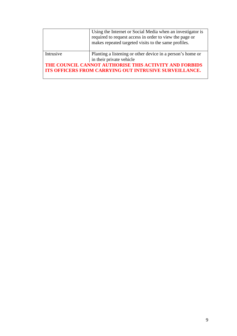|                                                        | Using the Internet or Social Media when an investigator is<br>required to request access in order to view the page or<br>makes repeated targeted visits to the same profiles. |
|--------------------------------------------------------|-------------------------------------------------------------------------------------------------------------------------------------------------------------------------------|
|                                                        |                                                                                                                                                                               |
| Intrusive                                              | Planting a listening or other device in a person's home or                                                                                                                    |
|                                                        | in their private vehicle                                                                                                                                                      |
| THE COUNCIL CANNOT AUTHORISE THIS ACTIVITY AND FORBIDS |                                                                                                                                                                               |
| ITS OFFICERS FROM CARRYING OUT INTRUSIVE SURVEILLANCE. |                                                                                                                                                                               |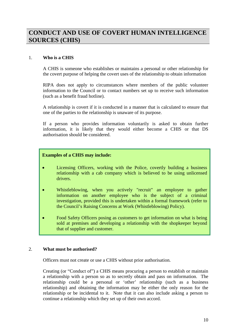### **CONDUCT AND USE OF COVERT HUMAN INTELLIGENCE SOURCES (CHIS)**

#### 1. **Who is a CHIS**

A CHIS is someone who establishes or maintains a personal or other relationship for the covert purpose of helping the covert uses of the relationship to obtain information

RIPA does not apply to circumstances where members of the public volunteer information to the Council or to contact numbers set up to receive such information (such as a benefit fraud hotline).

A relationship is covert if it is conducted in a manner that is calculated to ensure that one of the parties to the relationship is unaware of its purpose.

If a person who provides information voluntarily is asked to obtain further information, it is likely that they would either become a CHIS or that DS authorisation should be considered.

#### **Examples of a CHIS may include:**

- Licensing Officers, working with the Police, covertly building a business relationship with a cab company which is believed to be using unlicensed drivers.
- Whistleblowing, when you actively "recruit" an employee to gather information on another employee who is the subject of a criminal investigation, provided this is undertaken within a formal framework (refer to the Council's Raising Concerns at Work (Whistleblowing) Policy).
- Food Safety Officers posing as customers to get information on what is being sold at premises and developing a relationship with the shopkeeper beyond that of supplier and customer.

#### 2. **What must be authorised?**

Officers must not create or use a CHIS without prior authorisation.

Creating (or "Conduct of") a CHIS means procuring a person to establish or maintain a relationship with a person so as to secretly obtain and pass on information. The relationship could be a personal or 'other' relationship (such as a business relationship) and obtaining the information may be either the only reason for the relationship or be incidental to it. Note that it can also include asking a person to continue a relationship which they set up of their own accord.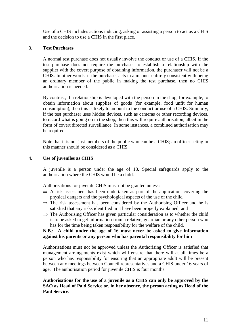Use of a CHIS includes actions inducing, asking or assisting a person to act as a CHIS and the decision to use a CHIS in the first place.

#### 3. **Test Purchases**

A normal test purchase does not usually involve the conduct or use of a CHIS. If the test purchase does not require the purchaser to establish a relationship with the supplier with the covert purpose of obtaining information, the purchaser will not be a CHIS. In other words, if the purchaser acts in a manner entirely consistent with being an ordinary member of the public in making the test purchase, then no CHIS authorisation is needed.

By contrast, if a relationship is developed with the person in the shop, for example, to obtain information about supplies of goods (for example, food unfit for human consumption), then this is likely to amount to the conduct or use of a CHIS. Similarly, if the test purchaser uses hidden devices, such as cameras or other recording devices, to record what is going on in the shop, then this will require authorisation, albeit in the form of covert directed surveillance. In some instances, a combined authorisation may be required.

Note that it is not just members of the public who can be a CHIS; an officer acting in this manner should be considered as a CHIS.

#### 4. **Use of juveniles as CHIS**

A juvenile is a person under the age of 18. Special safeguards apply to the authorisation where the CHIS would be a child.

Authorisations for juvenile CHIS must not be granted unless: -

- $\Rightarrow$  A risk assessment has been undertaken as part of the application, covering the physical dangers and the psychological aspects of the use of the child
- $\Rightarrow$  The risk assessment has been considered by the Authorising Officer and he is satisfied that any risks identified in it have been properly explained; and
- $\Rightarrow$  The Authorising Officer has given particular consideration as to whether the child is to be asked to get information from a relative, guardian or any other person who has for the time being taken responsibility for the welfare of the child.

#### **N.B.: A child under the age of 16 must never be asked to give information against his parents or any person who has parental responsibility for him**

Authorisations must not be approved unless the Authorising Officer is satisfied that management arrangements exist which will ensure that there will at all times be a person who has responsibility for ensuring that an appropriate adult will be present between any meetings between Council representatives and a CHIS under 16 years of age. The authorisation period for juvenile CHIS is four months.

**Authorisations for the use of a juvenile as a CHIS can only be approved by the SAO as Head of Paid Service or, in her absence, the person acting as Head of the Paid Service.**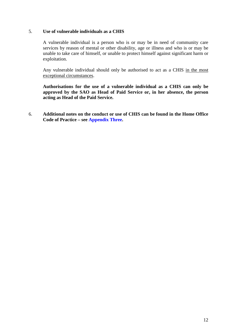#### 5. **Use of vulnerable individuals as a CHIS**

A vulnerable individual is a person who is or may be in need of community care services by reason of mental or other disability, age or illness and who is or may be unable to take care of himself, or unable to protect himself against significant harm or exploitation.

Any vulnerable individual should only be authorised to act as a CHIS in the most exceptional circumstances.

**Authorisations for the use of a vulnerable individual as a CHIS can only be approved by the SAO as Head of Paid Service or, in her absence, the person acting as Head of the Paid Service.**

6. **Additional notes on the conduct or use of CHIS can be found in the Home Office Code of Practice – see Appendix Three.**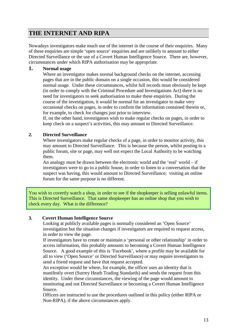### **THE INTERNET AND RIPA**

Nowadays investigators make much use of the internet in the course of their enquiries. Many of these enquiries are simple 'open source' enquiries and are unlikely to amount to either Directed Surveillance or the use of a Covert Human Intelligence Source. There are, however, circumstances under which RIPA authorisation may be appropriate.

#### **1. Normal usage**

Where an investigator makes normal background checks on the internet, accessing pages that are in the public domain on a single occasion, this would be considered normal usage. Under these circumstances, whilst full records must obviously be kept (in order to comply with the Criminal Procedure and Investigations Act) there is no need for investigators to seek authorisation to make these enquiries. During the course of the investigation, it would be normal for an investigator to make very occasional checks on pages, in order to confirm the information contained therein or, for example, to check for changes just prior to interview.

If, on the other hand, investigators wish to make regular checks on pages, in order to keep check on a suspect's activities, this may amount to Directed Surveillance.

#### **2. Directed Surveillance**

Where investigators make regular checks of a page, in order to monitor activity, this may amount to Directed Surveillance. This is because the person, whilst posting to a public forum, site or page, may well not expect the Local Authority to be watching them.

An analogy must be drawn between the electronic world and the 'real' world – if investigators were to go to a public house, in order to listen to a conversation that the suspect was having, this would amount to Directed Surveillance; visiting an online forum for the same purpose is no different.

You wish to covertly watch a shop, in order to see if the shopkeeper is selling unlawful items. This is Directed Surveillance. That same shopkeeper has an online shop that you wish to check every day. What is the difference?

#### **3. Covert Human Intelligence Source**

Looking at publicly available pages is normally considered an 'Open Source' investigation but the situation changes if investigators are required to request access, in order to view the page.

If investigators have to create or maintain a 'personal or other relationship' in order to access information, this probably amounts to becoming a Covert Human Intelligence Source. A good example of this is 'Facebook', where a profile may be available for all to view ('Open Source' or Directed Surveillance) or may require investigators to send a friend request and have that request accepted.

An exception would be where, for example, the officer uses an identity that is manifestly overt (Surrey Heath Trading Standards) and sends the request from this identity. Under these circumstances, the viewing of the page would amount to monitoring and not Directed Surveillance or becoming a Covert Human Intelligence Source.

Officers are instructed to use the procedures outlined in this policy (either RIPA or Non-RIPA), if the above circumstances apply.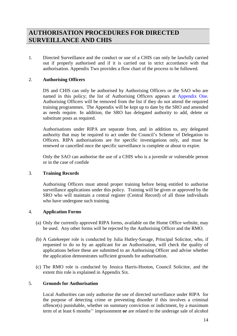### **AUTHORISATION PROCEDURES FOR DIRECTED SURVEILLANCE AND CHIS**

1. Directed Surveillance and the conduct or use of a CHIS can only be lawfully carried out if properly authorised and if it is carried out in strict accordance with that authorisation. Appendix Two provides a flow chart of the process to be followed.

#### 2. **Authorising Officers**

DS and CHIS can only be authorised by Authorising Officers or the SAO who are named in this policy; the list of Authorising Officers appears at Appendix One. Authorising Officers will be removed from the list if they do not attend the required training programmes. The Appendix will be kept up to date by the SRO and amended as needs require. In addition, the SRO has delegated authority to add, delete or substitute posts as required.

Authorisations under RIPA are separate from, and in addition to, any delegated authority that may be required to act under the Council's Scheme of Delegation to Officers. RIPA authorisations are for specific investigations only, and must be renewed or cancelled once the specific surveillance is complete or about to expire.

Only the SAO can authorise the use of a CHIS who is a juvenile or vulnerable person or in the case of confide

#### 3. **Training Records**

Authorising Officers must attend proper training before being entitled to authorise surveillance applications under this policy. Training will be given or approved by the SRO who will maintain a central register (Central Record) of all those individuals who have undergone such training.

#### 4. **Application Forms**

- (a) Only the currently approved RIPA forms, available on the Home Office website, may be used. Any other forms will be rejected by the Authorising Officer and the RMO.
- (b) A Gatekeeper role is conducted by Julia Hutley-Savage, Principal Solicitor, who, if requested to do so by an applicant for an Authorisation, will check the quality of applications before these are submitted to an Authorising Officer and advise whether the application demonstrates sufficient grounds for authorisation.
- (c) The RMO role is conducted by Jessica Harris-Hooton, Council Solicitor, and the extent this role is explained in Appendix Six.

#### 5. **Grounds for Authorisation**

Local Authorities can only authorise the use of directed surveillance under RIPA for the purpose of detecting crime or preventing disorder if this involves a criminal offence(s) punishable, whether on summary conviction or indictment, by a maximum term of at least 6 months'' imprisonment **or** are related to the underage sale of alcohol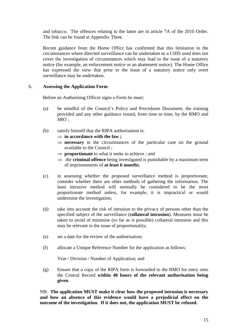and tobacco. The offences relating to the latter are in article 7A of the 2010 Order. The link can be found at Appendix Three.

Recent guidance from the Home Office has confirmed that this limitation to the circumstances where directed surveillance can be undertaken or a CHIS used does not cover the investigation of circumstances which may lead to the issue of a statutory notice (for example, an enforcement notice or an abatement notice). The Home Office has expressed the view that prior to the issue of a statutory notice only overt surveillance may be undertaken.

#### 6. **Assessing the Application Form**

Before an Authorising Officer signs a Form he must:

- (a) be mindful of the Council's Policy and Procedures Document, the training provided and any other guidance issued, from time to time, by the RMO and SRO ;
- (b) satisfy himself that the RIPA authorisation is:
	- ⇒ **in accordance with the law ;**
	- ⇒ **necessary** in the circumstances of the particular case on the ground available to the Council ;
	- ⇒ **proportionate** to what it seeks to achieve ; and
	- ⇒ the **criminal offence** being investigated is punishable by a maximum term of imprisonments of **at least 6 months**;
- (c) in assessing whether the proposed surveillance method is proportionate, consider whether there are other methods of gathering the information. The least intrusive method will normally be considered to be the most proportionate method unless, for example, it is impractical or would undermine the investigation;
- (d) take into account the risk of intrusion to the privacy of persons other than the specified subject of the surveillance (**collateral intrusion**). Measures must be taken to avoid of minimise (so far as is possible) collateral intrusion and this may be relevant to the issue of proportionality;
- (e) set a date for the review of the authorisation;
- (f) allocate a Unique Reference Number for the application as follows:

Year / Division / Number of Application; and

(g) Ensure that a copy of the RIPA form is forwarded to the RMO for entry onto the Central Record **within 48 hours of the relevant authorisation being given**.

NB: **The application MUST make it clear how the proposed intrusion is necessary and how an absence of this evidence would have a prejudicial effect on the outcome of the investigation. If it does not, the application MUST be refused.**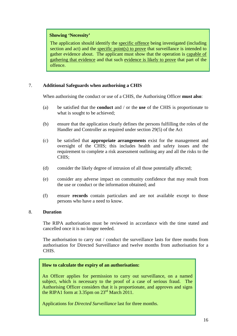#### **Showing 'Necessity'**

The application should identify the specific offence being investigated (including section and act) and the specific point(s) to prove that surveillance is intended to gather evidence about. The applicant must show that the operation is capable of gathering that evidence and that such evidence is likely to prove that part of the offence.

#### 7. **Additional Safeguards when authorising a CHIS**

When authorising the conduct or use of a CHIS, the Authorising Officer **must also**:

- (a) be satisfied that the **conduct** and / or the **use** of the CHIS is proportionate to what is sought to be achieved;
- (b) ensure that the application clearly defines the persons fulfilling the roles of the Handler and Controller as required under section 29(5) of the Act
- (c) be satisfied that **appropriate arrangements** exist for the management and oversight of the CHIS; this includes health and safety issues and the requirement to complete a risk assessment outlining any and all the risks to the CHIS;
- (d) consider the likely degree of intrusion of all those potentially affected;
- (e) consider any adverse impact on community confidence that may result from the use or conduct or the information obtained; and
- (f) ensure **records** contain particulars and are not available except to those persons who have a need to know.

#### 8. **Duration**

The RIPA authorisation must be reviewed in accordance with the time stated and cancelled once it is no longer needed.

The authorisation to carry out / conduct the surveillance lasts for three months from authorisation for Directed Surveillance and twelve months from authorisation for a CHIS.

#### **How to calculate the expiry of an authorisation:**

An Officer applies for permission to carry out surveillance, on a named subject, which is necessary to the proof of a case of serious fraud. The Authorising Officer considers that it is proportionate, and approves and signs the RIPA1 form at 3.35pm on 23<sup>rd</sup> March 2011.

Applications for *Directed Surveillance* last for three months.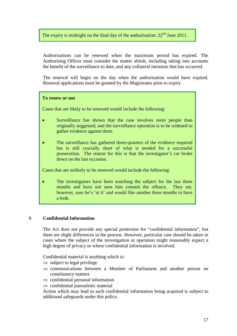#### The expiry is midnight on the final day of the authorisation:  $22<sup>nd</sup>$  June 2011.

Authorisations can be renewed when the maximum period has expired. The Authorising Officer must consider the matter afresh, including taking into accounts the benefit of the surveillance to date, and any collateral intrusion that has occurred.

The renewal will begin on the day when the authorisation would have expired. Renewal applications must be granted by the Magistrates prior to expiry

#### **To renew or not**

Cases that are likely to be renewed would include the following:

- Surveillance has shown that the case involves more people than originally suggested, and the surveillance operation is to be widened to gather evidence against them.
- The surveillance has gathered three-quarters of the evidence required but is still crucially short of what is needed for a successful prosecution. The reason for this is that the investigator's car broke down on the last occasion.

Cases that are unlikely to be renewed would include the following:

• The investigators have been watching the subject for the last three months and have not seen him commit the offence. They are, however, sure he's 'at it' and would like another three months to have a look.

#### 9. **Confidential Information**

The Act does not provide any special protection for "confidential information", but there are slight differences in the process. However, particular care should be taken in cases where the subject of the investigation or operation might reasonably expect a high degree of privacy or where confidential information is involved.

Confidential material is anything which is:

- $\Rightarrow$  subject to legal privilege
- $\Rightarrow$  communications between a Member of Parliament and another person on constituency matters
- $\Rightarrow$  confidential personal information
- $\Rightarrow$  confidential journalistic material

Action which may lead to such confidential information being acquired is subject to additional safeguards under this policy.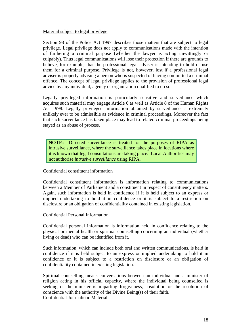#### Material subject to legal privilege

Section 98 of the Police Act 1997 describes those matters that are subject to legal privilege. Legal privilege does not apply to communications made with the intention of furthering a criminal purpose (whether the lawyer is acting unwittingly or culpably). Thus legal communications will lose their protection if there are grounds to believe, for example, that the professional legal adviser is intending to hold or use them for a criminal purpose. Privilege is not, however, lost if a professional legal adviser is properly advising a person who is suspected of having committed a criminal offence. The concept of legal privilege applies to the provision of professional legal advice by any individual, agency or organisation qualified to do so.

Legally privileged information is particularly sensitive and surveillance which acquires such material may engage Article 6 as well as Article 8 of the Human Rights Act 1998. Legally privileged information obtained by surveillance is extremely unlikely ever to be admissible as evidence in criminal proceedings. Moreover the fact that such surveillance has taken place may lead to related criminal proceedings being stayed as an abuse of process.

**NOTE:** Directed surveillance is treated for the purposes of RIPA as intrusive surveillance, where the surveillance takes place in locations where it is known that legal consultations are taking place. Local Authorities may not authorise *intrusive surveillance* using RIPA.

#### Confidential constituent information

Confidential constituent information is information relating to communications between a Member of Parliament and a constituent in respect of constituency matters. Again, such information is held in confidence if it is held subject to an express or implied undertaking to hold it in confidence or it is subject to a restriction on disclosure or an obligation of confidentiality contained in existing legislation.

#### Confidential Personal Information

Confidential personal information is information held in confidence relating to the physical or mental health or spiritual counselling concerning an individual (whether living or dead) who can be identified from it.

Such information, which can include both oral and written communications, is held in confidence if it is held subject to an express or implied undertaking to hold it in confidence or it is subject to a restriction on disclosure or an obligation of confidentiality contained in existing legislation.

Spiritual counselling means conversations between an individual and a minister of religion acting in his official capacity, where the individual being counselled is seeking or the minister is imparting forgiveness, absolution or the resolution of conscience with the authority of the Divine Being(s) of their faith. Confidential Journalistic Material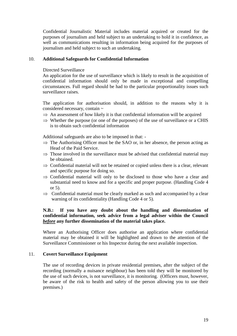Confidential Journalistic Material includes material acquired or created for the purposes of journalism and held subject to an undertaking to hold it in confidence, as well as communications resulting in information being acquired for the purposes of journalism and held subject to such an undertaking.

#### 10. **Additional Safeguards for Confidential Information**

#### Directed Surveillance

An application for the use of surveillance which is likely to result in the acquisition of confidential information should only be made in exceptional and compelling circumstances. Full regard should be had to the particular proportionality issues such surveillance raises.

The application for authorisation should, in addition to the reasons why it is considered necessary, contain ~

- $\Rightarrow$  An assessment of how likely it is that confidential information will be acquired
- $\Rightarrow$  Whether the purpose (or one of the purposes) of the use of surveillance or a CHIS is to obtain such confidential information

Additional safeguards are also to be imposed in that: -

- $\Rightarrow$  The Authorising Officer must be the SAO or, in her absence, the person acting as Head of the Paid Service.
- $\Rightarrow$  Those involved in the surveillance must be advised that confidential material may be obtained.
- $\Rightarrow$  Confidential material will not be retained or copied unless there is a clear, relevant and specific purpose for doing so.
- ⇒ Confidential material will only to be disclosed to those who have a clear and substantial need to know and for a specific and proper purpose. (Handling Code 4 or 5).
- $\Rightarrow$  Confidential material must be clearly marked as such and accompanied by a clear warning of its confidentiality (Handling Code 4 or 5).

#### **N.B.: If you have any doubt about the handling and dissemination of confidential information, seek advice from a legal adviser within the Council** *before* **any further dissemination of the material takes place.**

Where an Authorising Officer does authorise an application where confidential material may be obtained it will be highlighted and drawn to the attention of the Surveillance Commissioner or his Inspector during the next available inspection.

#### 11. **Covert Surveillance Equipment**

The use of recording devices in private residential premises, after the subject of the recording (normally a nuisance neighbour) has been told they will be monitored by the use of such devices, is not surveillance, it is monitoring. (Officers must, however, be aware of the risk to health and safety of the person allowing you to use their premises.)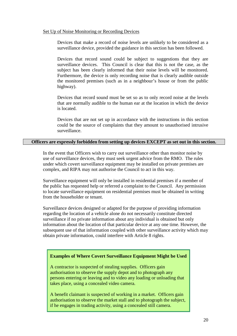#### Set Up of Noise Monitoring or Recording Devices

Devices that make a record of noise levels are unlikely to be considered as a surveillance device, provided the guidance in this section has been followed.

Devices that record sound could be subject to suggestions that they are surveillance devices. This Council is clear that this is not the case, as the subject has been clearly informed that their noise levels will be monitored. Furthermore, the device is only recording noise that is clearly audible outside the monitored premises (such as in a neighbour's house or from the public highway).

Devices that record sound must be set so as to only record noise at the levels that are normally audible to the human ear at the location in which the device is located.

Devices that are not set up in accordance with the instructions in this section could be the source of complaints that they amount to unauthorised intrusive surveillance.

#### **Officers are expressly forbidden from setting up devices EXCEPT as set out in this section.**

In the event that Officers wish to carry out surveillance other than monitor noise by use of surveillance devices, they must seek urgent advice from the RMO. The rules under which covert surveillance equipment may be installed on private premises are complex, and RIPA may not authorise the Council to act in this way.

Surveillance equipment will only be installed in residential premises if a member of the public has requested help or referred a complaint to the Council. Any permission to locate surveillance equipment on residential premises must be obtained in writing from the householder or tenant.

Surveillance devices designed or adapted for the purpose of providing information regarding the location of a vehicle alone do not necessarily constitute directed surveillance if no private information about any individual is obtained but only information about the location of that particular device at any one time. However, the subsequent use of that information coupled with other surveillance activity which may obtain private information, could interfere with Article 8 rights.

#### **Examples of Where Covert Surveillance Equipment Might be Used**

A contractor is suspected of stealing supplies. Officers gain authorisation to observe the supply depot and to photograph any persons entering or leaving and to video any loading or unloading that takes place, using a concealed video camera.

A benefit claimant is suspected of working in a market. Officers gain authorisation to observe the market stall and to photograph the subject, if he engages in trading activity, using a concealed still camera.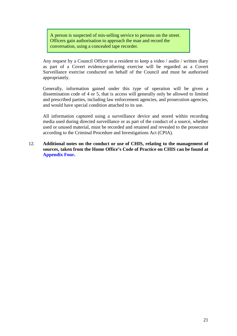A person is suspected of mis-selling service to persons on the street. Officers gain authorisation to approach the man and record the conversation, using a concealed tape recorder.

Any request by a Council Officer to a resident to keep a video / audio / written diary as part of a Covert evidence-gathering exercise will be regarded as a Covert Surveillance exercise conducted on behalf of the Council and must be authorised appropriately.

Generally, information gained under this type of operation will be given a dissemination code of 4 or 5, that is access will generally only be allowed to limited and prescribed parties, including law enforcement agencies, and prosecution agencies, and would have special condition attached to its use.

All information captured using a surveillance device and stored within recording media used during directed surveillance or as part of the conduct of a source, whether used or unused material, must be recorded and retained and revealed to the prosecutor according to the Criminal Procedure and Investigations Act (CPIA).

12. **Additional notes on the conduct or use of CHIS, relating to the management of sources, taken from the Home Office's Code of Practice on CHIS can be found at Appendix Four.**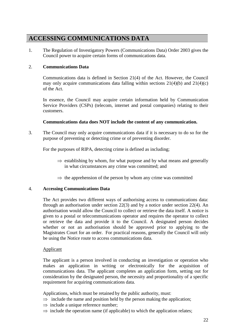### **ACCESSING COMMUNICATIONS DATA**

1. The Regulation of Investigatory Powers (Communications Data) Order 2003 gives the Council power to acquire certain forms of communications data.

#### 2. **Communications Data**

Communications data is defined in Section 21(4) of the Act. However, the Council may only acquire communications data falling within sections 21(4)(b) and 21(4)(c) of the Act.

In essence, the Council may acquire certain information held by Communication Service Providers (CSPs) (telecom, internet and postal companies) relating to their customers.

#### **Communications data does NOT include the content of any communication.**

3. The Council may only acquire communications data if it is necessary to do so for the purpose of preventing or detecting crime or of preventing disorder.

For the purposes of RIPA, detecting crime is defined as including;

- $\Rightarrow$  establishing by whom, for what purpose and by what means and generally in what circumstances any crime was committed; and
- $\Rightarrow$  the apprehension of the person by whom any crime was committed

#### 4. **Accessing Communications Data**

The Act provides two different ways of authorising access to communications data: through an authorisation under section 22(3) and by a notice under section 22(4). An authorisation would allow the Council to collect or retrieve the data itself. A notice is given to a postal or telecommunications operator and requires the operator to collect or retrieve the data and provide it to the Council. A designated person decides whether or not an authorisation should be approved prior to applying to the Magistrates Court for an order. For practical reasons, generally the Council will only be using the Notice route to access communications data.

#### Applicant

The applicant is a person involved in conducting an investigation or operation who makes an application in writing or electronically for the acquisition of communications data. The applicant completes an application form, setting out for consideration by the designated person, the necessity and proportionality of a specific requirement for acquiring communications data.

Applications, which must be retained by the public authority, must:

- $\Rightarrow$  include the name and position held by the person making the application;
- $\Rightarrow$  include a unique reference number;
- $\Rightarrow$  include the operation name (if applicable) to which the application relates;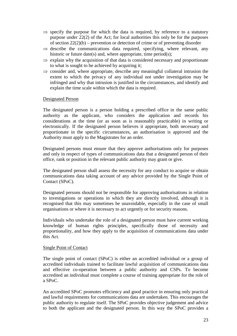- $\Rightarrow$  specify the purpose for which the data is required, by reference to a statutory purpose under 22(2) of the Act; for local authorities this only be for the purposes of section  $22(2)(b)$  – prevention or detection of crime or of preventing disorder
- $\Rightarrow$  describe the communications data required, specifying, where relevant, any historic or future date(s) and, where appropriate, time period(s);
- $\Rightarrow$  explain why the acquisition of that data is considered necessary and proportionate to what is sought to be achieved by acquiring it;
- $\Rightarrow$  consider and, where appropriate, describe any meaningful collateral intrusion the extent to which the privacy of any individual not under investigation may be infringed and why that intrusion is justified in the circumstances, and identify and explain the time scale within which the data is required.

#### Designated Person

The designated person is a person holding a prescribed office in the same public authority as the applicant, who considers the application and records his considerations at the time (or as soon as is reasonably practicable) in writing or electronically. If the designated person believes it appropriate, both necessary and proportionate in the specific circumstances, an authorisation is approved and the Authority must apply to the Magistrates for an order.

Designated persons must ensure that they approve authorisations only for purposes and only in respect of types of communications data that a designated person of their office, rank or position in the relevant public authority may grant or give.

The designated person shall assess the necessity for any conduct to acquire or obtain communications data taking account of any advice provided by the Single Point of Contact (SPoC).

Designated persons should not be responsible for approving authorisations in relation to investigations or operations in which they are directly involved, although it is recognised that this may sometimes be unavoidable, especially in the case of small organisations or where it is necessary to act urgently or for security reasons.

Individuals who undertake the role of a designated person must have current working knowledge of human rights principles, specifically those of necessity and proportionality, and how they apply to the acquisition of communications data under this Act.

#### Single Point of Contact

The single point of contact (SPoC) is either an accredited individual or a group of accredited individuals trained to facilitate lawful acquisition of communications data and effective co-operation between a public authority and CSPs. To become accredited an individual must complete a course of training appropriate for the role of a SPoC.

An accredited SPoC promotes efficiency and good practice in ensuring only practical and lawful requirements for communications data are undertaken. This encourages the public authority to regulate itself. The SPoC provides objective judgement and advice to both the applicant and the designated person. In this way the SPoC provides a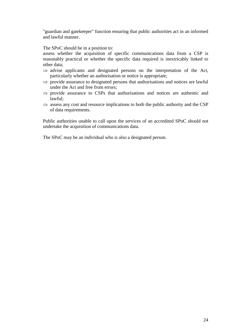"guardian and gatekeeper" function ensuring that public authorities act in an informed and lawful manner.

The SPoC should be in a position to:

assess whether the acquisition of specific communications data from a CSP is reasonably practical or whether the specific data required is inextricably linked to other data;

- $\Rightarrow$  advise applicants and designated persons on the interpretation of the Act, particularly whether an authorisation or notice is appropriate;
- $\Rightarrow$  provide assurance to designated persons that authorisations and notices are lawful under the Act and free from errors;
- $\Rightarrow$  provide assurance to CSPs that authorisations and notices are authentic and lawful;
- $\Rightarrow$  assess any cost and resource implications to both the public authority and the CSP of data requirements.

Public authorities unable to call upon the services of an accredited SPoC should not undertake the acquisition of communications data.

The SPoC may be an individual who is also a designated person.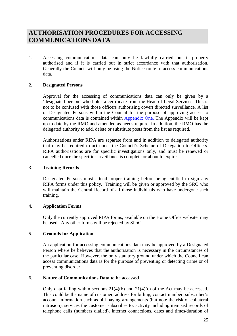### **AUTHORISATION PROCEDURES FOR ACCESSING COMMUNICATIONS DATA**

1. Accessing communications data can only be lawfully carried out if properly authorised and if it is carried out in strict accordance with that authorisation. Generally the Council will only be using the Notice route to access communications data.

#### 2. **Designated Persons**

Approval for the accessing of communications data can only be given by a 'designated person' who holds a certificate from the Head of Legal Services. This is not to be confused with those officers authorising covert directed surveillance. A list of Designated Persons within the Council for the purpose of approving access to communications data is contained within Appendix One. The Appendix will be kept up to date by the RMO and amended as needs require. In addition, the RMO has the delegated authority to add, delete or substitute posts from the list as required.

Authorisations under RIPA are separate from and in addition to delegated authority that may be required to act under the Council's Scheme of Delegation to Officers. RIPA authorisations are for specific investigations only, and must be renewed or cancelled once the specific surveillance is complete or about to expire.

#### 3. **Training Records**

Designated Persons must attend proper training before being entitled to sign any RIPA forms under this policy. Training will be given or approved by the SRO who will maintain the Central Record of all those individuals who have undergone such training.

#### 4. **Application Forms**

Only the currently approved RIPA forms, available on the Home Office website, may be used. Any other forms will be rejected by SPoC.

#### 5. **Grounds for Application**

An application for accessing communications data may be approved by a Designated Person where he believes that the authorisation is necessary in the circumstances of the particular case. However, the only statutory ground under which the Council can access communications data is for the purpose of preventing or detecting crime or of preventing disorder.

#### 6. **Nature of Communications Data to be accessed**

Only data falling within sections  $21(4)(b)$  and  $21(4)(c)$  of the Act may be accessed. This could be the name of customer, address for billing, contact number, subscriber's account information such as bill paying arrangements (but note the risk of collateral intrusion), services the customer subscribes to, activity including itemised records of telephone calls (numbers dialled), internet connections, dates and times/duration of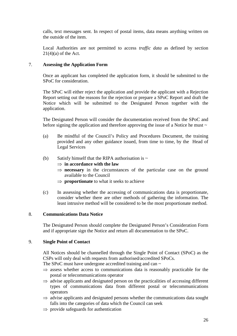calls, text messages sent. In respect of postal items, data means anything written on the outside of the item.

Local Authorities are not permitted to access *traffic data* as defined by section  $21(4)(a)$  of the Act.

#### 7. **Assessing the Application Form**

Once an applicant has completed the application form, it should be submitted to the SPoC for consideration.

The SPoC will either reject the application and provide the applicant with a Rejection Report setting out the reasons for the rejection or prepare a SPoC Report and draft the Notice which will be submitted to the Designated Person together with the application.

The Designated Person will consider the documentation received from the SPoC and before signing the application and therefore approving the issue of a Notice he must  $\sim$ 

- (a) Be mindful of the Council's Policy and Procedures Document, the training provided and any other guidance issued, from time to time, by the Head of Legal Services
- (b) Satisfy himself that the RIPA authorisation is  $\sim$ 
	- ⇒ **in accordance with the law**
	- ⇒ **necessary** in the circumstances of the particular case on the ground available to the Council
	- ⇒ **proportionate** to what it seeks to achieve
- (c) In assessing whether the accessing of communications data is proportionate, consider whether there are other methods of gathering the information. The least intrusive method will be considered to be the most proportionate method.

#### 8. **Communications Data Notice**

The Designated Person should complete the Designated Person's Consideration Form and if appropriate sign the Notice and return all documentation to the SPoC.

#### 9. **Single Point of Contact**

All Notices should be channelled through the Single Point of Contact (SPoC) as the CSPs will only deal with requests from authorised/accredited SPoCs.

The SPoC must have undergone accredited training and can  $\sim$ 

- $\Rightarrow$  assess whether access to communications data is reasonably practicable for the postal or telecommunications operator
- $\Rightarrow$  advise applicants and designated person on the practicalities of accessing different types of communications data from different postal or telecommunications operators
- $\Rightarrow$  advise applicants and designated persons whether the communications data sought falls into the categories of data which the Council can seek
- $\Rightarrow$  provide safeguards for authentication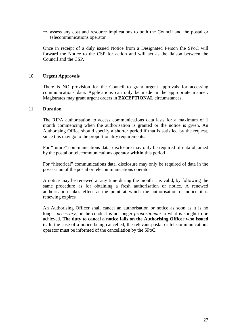$\Rightarrow$  assess any cost and resource implications to both the Council and the postal or telecommunications operator

Once in receipt of a duly issued Notice from a Designated Person the SPoC will forward the Notice to the CSP for action and will act as the liaison between the Council and the CSP.

#### 10. **Urgent Approvals**

There is NO provision for the Council to grant urgent approvals for accessing communications data. Applications can only be made in the appropriate manner. Magistrates may grant urgent orders in **EXCEPTIONAL** circumstances.

#### 11. **Duration**

The RIPA authorisation to access communications data lasts for a maximum of 1 month commencing when the authorisation is granted or the notice is given. An Authorising Office should specify a shorter period if that is satisfied by the request, since this may go to the proportionality requirements.

For "future" communications data, disclosure may only be required of data obtained by the postal or telecommunications operator **within** this period

For "historical" communications data, disclosure may only be required of data in the possession of the postal or telecommunications operator

A notice may be renewed at any time during the month it is valid, by following the same procedure as for obtaining a fresh authorisation or notice. A renewed authorisation takes effect at the point at which the authorisation or notice it is renewing expires

An Authorising Officer shall cancel an authorisation or notice as soon as it is no longer *necessary*, or the conduct is no longer *proportionate* to what is sought to be achieved. **The duty to cancel a notice falls on the Authorising Officer who issued it**. In the case of a notice being cancelled, the relevant postal or telecommunications operator must be informed of the cancellation by the SPoC.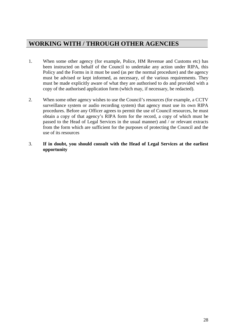### **WORKING WITH / THROUGH OTHER AGENCIES**

- 1. When some other agency (for example, Police, HM Revenue and Customs etc) has been instructed on behalf of the Council to undertake any action under RIPA, this Policy and the Forms in it must be used (as per the normal procedure) and the agency must be advised or kept informed, as necessary, of the various requirements. They must be made explicitly aware of what they are authorised to do and provided with a copy of the authorised application form (which may, if necessary, be redacted).
- 2. When some other agency wishes to use the Council's resources (for example, a CCTV surveillance system or audio recording system) that agency must use its own RIPA procedures. Before any Officer agrees to permit the use of Council resources, he must obtain a copy of that agency's RIPA form for the record, a copy of which must be passed to the Head of Legal Services in the usual manner) and / or relevant extracts from the form which are sufficient for the purposes of protecting the Council and the use of its resources
- 3. **If in doubt, you should consult with the Head of Legal Services at the earliest opportunity**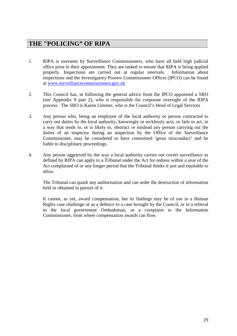### **THE "POLICING" OF RIPA**

- 1. RIPA is overseen by Surveillance Commissioners, who have all held high judicial office prior to their appointment. They are tasked to ensure that RIPA is being applied properly. Inspections are carried out at regular intervals. Information about inspections and the Investigatory Powers Commissioner Officer (IPCO) can be found at [www.surveillancecommissioners.gov.uk](http://www.surveillancecommissioners.gov.uk/)
- 2. This Council has, in following the general advice from the IPCO appointed a SRO (see Appendix 9 part 2), who is responsible for corporate oversight of the RIPA process. The SRO is Karen Limmer, who is the Council's Head of Legal Services
- 3. Any person who, being an employee of the local authority or person contracted to carry out duties by the local authority, knowingly or recklessly acts, or fails to act, in a way that tends to, or is likely to, obstruct or mislead any person carrying out the duties of an inspector during an inspection by the Office of the Surveillance Commissioner, may be considered to have committed 'gross misconduct' and be liable to disciplinary proceedings.
- 4. Any person aggrieved by the way a local authority carries out covert surveillance as defined by RIPA can apply to a Tribunal under the Act for redress within a year of the Act complained of or any longer period that the Tribunal thinks it just and equitable to allow.

The Tribunal can quash any authorisation and can order the destruction of information held or obtained in pursuit of it.

It cannot, as yet, award compensation, but its findings may be of use in a Human Rights case challenge or as a defence to a case brought by the Council, or in a referral to the local government Ombudsman, or a complaint to the Information Commissioner, from where compensation awards can flow.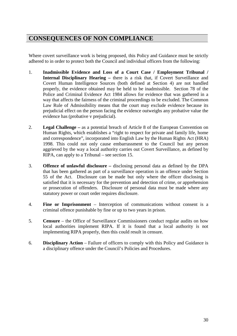### **CONSEQUENCES OF NON COMPLIANCE**

Where covert surveillance work is being proposed, this Policy and Guidance must be strictly adhered to in order to protect both the Council and individual officers from the following:

- 1. **Inadmissible Evidence and Loss of a Court Case / Employment Tribunal / Internal Disciplinary Hearing –** there is a risk that, if Covert Surveillance and Covert Human Intelligence Sources (both defined at Section 4) are not handled properly, the evidence obtained may be held to be inadmissible. Section 78 of the Police and Criminal Evidence Act 1984 allows for evidence that was gathered in a way that affects the fairness of the criminal proceedings to be excluded. The Common Law Rule of Admissibility means that the court may exclude evidence because its prejudicial effect on the person facing the evidence outweighs any probative value the evidence has (probative v prejudicial).
- 2. **Legal Challenge –** as a potential breach of Article 8 of the European Convention on Human Rights, which establishes a "right to respect for private and family life, home and correspondence", incorporated into English Law by the Human Rights Act (HRA) 1998. This could not only cause embarrassment to the Council but any person aggrieved by the way a local authority carries out Covert Surveillance, as defined by RIPA, can apply to a Tribunal – see section 15.
- 3. **Offence of unlawful disclosure –** disclosing personal data as defined by the DPA that has been gathered as part of a surveillance operation is an offence under Section 55 of the Act. Disclosure can be made but only where the officer disclosing is satisfied that it is necessary for the prevention and detection of crime, or apprehension or prosecution of offenders. Disclosure of personal data must be made where any statutory power or court order requires disclosure.
- 4. **Fine or Imprisonment** Interception of communications without consent is a criminal offence punishable by fine or up to two years in prison.
- 5. **Censure** the Office of Surveillance Commissioners conduct regular audits on how local authorities implement RIPA. If it is found that a local authority is not implementing RIPA properly, then this could result in censure.
- 6. **Disciplinary Action** Failure of officers to comply with this Policy and Guidance is a disciplinary offence under the Council's Policies and Procedures.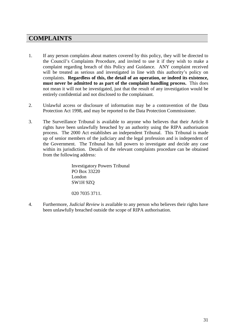### **COMPLAINTS**

- 1. If any person complains about matters covered by this policy, they will be directed to the Council's Complaints Procedure, and invited to use it if they wish to make a complaint regarding breach of this Policy and Guidance. ANY complaint received will be treated as serious and investigated in line with this authority's policy on complaints. **Regardless of this, the detail of an operation, or indeed its existence, must never be admitted to as part of the complaint handling process.** This does not mean it will not be investigated, just that the result of any investigation would be entirely confidential and not disclosed to the complainant.
- 2. Unlawful access or disclosure of information may be a contravention of the Data Protection Act 1998, and may be reported to the Data Protection Commissioner.
- 3. The Surveillance Tribunal is available to anyone who believes that their Article 8 rights have been unlawfully breached by an authority using the RIPA authorisation process. The 2000 Act establishes an independent Tribunal. This Tribunal is made up of senior members of the judiciary and the legal profession and is independent of the Government. The Tribunal has full powers to investigate and decide any case within its jurisdiction. Details of the relevant complaints procedure can be obtained from the following address:

Investigatory Powers Tribunal PO Box 33220 London SW1H 9ZQ

020 7035 3711.

4. Furthermore, *Judicial Review* is available to any person who believes their rights have been unlawfully breached outside the scope of RIPA authorisation.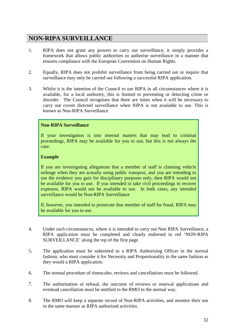### **NON-RIPA SURVEILLANCE**

- 1. RIPA does not grant any powers to carry out surveillance, it simply provides a framework that allows public authorities to authorise surveillance in a manner that ensures compliance with the European Convention on Human Rights.
- 2. Equally, RIPA does not prohibit surveillance from being carried out or require that surveillance may only be carried out following a successful RIPA application.
- 3. Whilst it is the intention of the Council to use RIPA in all circumstances where it is available, for a local authority, this is limited to preventing or detecting crime or disorder. The Council recognises that there are times when it will be necessary to carry out covert directed surveillance when RIPA is not available to use. This is known as Non-RIPA Surveillance.

### **Non-RIPA Surveillance**

If your investigation is into internal matters that may lead to criminal proceedings, RIPA may be available for you to use, but this is not always the case.

#### **Example**

If you are investigating allegations that a member of staff is claiming vehicle mileage when they are actually using public transport, and you are intending to use the evidence you gain for disciplinary purposes only, then RIPA would not be available for you to use. If you intended to take civil proceedings to recover expenses, RIPA would not be available to use. In both cases, any intended surveillance would be Non-RIPA Surveillance

If, however, you intended to prosecute that member of staff for fraud, RIPA may be available for you to use.

- 4. Under such circumstances, where it is intended to carry out Non RIPA Surveillance, a RIPA application must be completed and clearly endorsed in red 'NON-RIPA SURVEILLANCE' along the top of the first page.
- 5. The application must be submitted to a RIPA Authorising Officer in the normal fashion, who must consider it for Necessity and Proportionality in the same fashion as they would a RIPA application.
- 6. The normal procedure of timescales, reviews and cancellations must be followed.
- 7. The authorisation or refusal, the outcome of reviews or renewal applications and eventual cancellation must be notified to the RMO in the normal way.
- 8. The RMO will keep a separate record of Non-RIPA activities, and monitor their use in the same manner as RIPA authorised activities.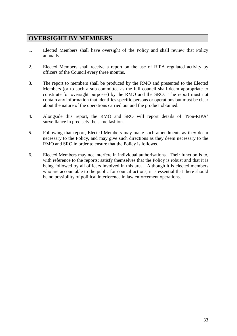### **OVERSIGHT BY MEMBERS**

- 1. Elected Members shall have oversight of the Policy and shall review that Policy annually.
- 2. Elected Members shall receive a report on the use of RIPA regulated activity by officers of the Council every three months.
- 3. The report to members shall be produced by the RMO and presented to the Elected Members (or to such a sub-committee as the full council shall deem appropriate to constitute for oversight purposes) by the RMO and the SRO. The report must not contain any information that identifies specific persons or operations but must be clear about the nature of the operations carried out and the product obtained.
- 4. Alongside this report, the RMO and SRO will report details of 'Non-RIPA' surveillance in precisely the same fashion.
- 5. Following that report, Elected Members may make such amendments as they deem necessary to the Policy, and may give such directions as they deem necessary to the RMO and SRO in order to ensure that the Policy is followed.
- 6. Elected Members may not interfere in individual authorisations. Their function is to, with reference to the reports; satisfy themselves that the Policy is robust and that it is being followed by all officers involved in this area. Although it is elected members who are accountable to the public for council actions, it is essential that there should be no possibility of political interference in law enforcement operations.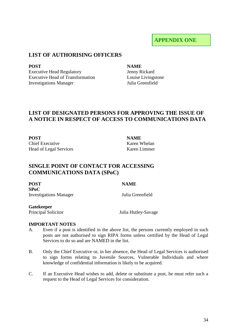### **APPENDIX ONE**

### **LIST OF AUTHORISING OFFICERS**

Executive Head Regulatory Executive Head of Transformation **Investigations Manager** 

#### **POST NAME**

Jenny Rickard Louise Livingstone<br>Iulia Greenfield

### **LIST OF DESIGNATED PERSONS FOR APPROVING THE ISSUE OF A NOTICE IN RESPECT OF ACCESS TO COMMUNICATIONS DATA**

**POST NAME** Chief Executive Karen Whelan Head of Legal Services Karen Limmer

### **SINGLE POINT OF CONTACT FOR ACCESSING COMMUNICATIONS DATA (SPoC)**

**POST NAME SPoC**  Investigations Manager Julia Greenfield

### **Gatekeeper**

Principal Solicitor **Iulia Hutley-Savage** 

#### **IMPORTANT NOTES**

- A. Even if a post is identified in the above list, the persons currently employed in such posts are not authorised to sign RIPA forms unless certified by the Head of Legal Services to do so and are NAMED in the list.
- B. Only the Chief Executive or, in her absence, the Head of Legal Services is authorised to sign forms relating to Juvenile Sources, Vulnerable Individuals and where knowledge of confidential information is likely to be acquired.
- C. If an Executive Head wishes to add, delete or substitute a post, he must refer such a request to the Head of Legal Services for consideration.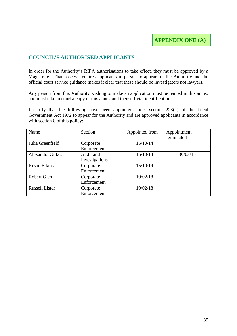### **COUNCIL'S AUTHORISED APPLICANTS**

In order for the Authority's RIPA authorisations to take effect, they must be approved by a Magistrate. That process requires applicants in person to appear for the Authority and the official court service guidance makes it clear that these should be investigators not lawyers.

Any person from this Authority wishing to make an application must be named in this annex and must take to court a copy of this annex and their official identification.

I certify that the following have been appointed under section 223(1) of the Local Government Act 1972 to appear for the Authority and are approved applicants in accordance with section 8 of this policy:

| Name                  | Section        | Appointed from | Appointment |
|-----------------------|----------------|----------------|-------------|
|                       |                |                | terminated  |
| Julia Greenfield      | Corporate      | 15/10/14       |             |
|                       | Enforcement    |                |             |
| Alexandra Gilkes      | Audit and      | 15/10/14       | 30/03/15    |
|                       | Investigations |                |             |
| Kevin Elkins          | Corporate      | 15/10/14       |             |
|                       | Enforcement    |                |             |
| Robert Glen           | Corporate      | 19/02/18       |             |
|                       | Enforcement    |                |             |
| <b>Russell Lister</b> | Corporate      | 19/02/18       |             |
|                       | Enforcement    |                |             |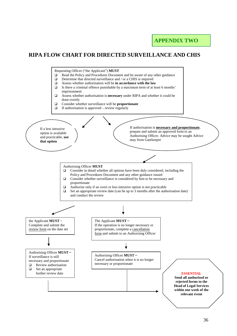### **APPENDIX TWO**

### **RIPA FLOW CHART FOR DIRECTED SURVEILLANCE AND CHIS**

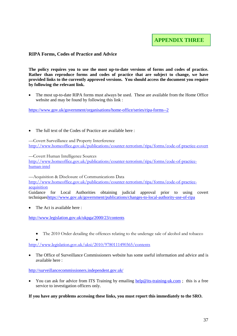#### **RIPA Forms, Codes of Practice and Advice**

**The policy requires you to use the most up-to-date versions of forms and codes of practice. Rather than reproduce forms and codes of practice that are subject to change, we have provided links to the currently approved versions. You should access the document you require by following the relevant link.** 

• The most up-to-date RIPA forms must always be used. These are available from the Home Office website and may be found by following this link :

<https://www.gov.uk/government/organisations/home-office/series/ripa-forms--2>

The full text of the Codes of Practice are available here :

––Covert Surveillance and Property Interference <http://www.homeoffice.gov.uk/publications/counter-terrorism/ripa/forms/code-of-practice-covert>

––Covert Human Intelligence Sources

[http://www.homeoffice.gov.uk/publications/counter-terrorism/ripa/forms/code-of-practice](http://www.homeoffice.gov.uk/publications/counter-terrorism/ripa/forms/code-of-practice-human-intel)[human-intel](http://www.homeoffice.gov.uk/publications/counter-terrorism/ripa/forms/code-of-practice-human-intel)

––Acquisition & Disclosure of Communications Data [http://www.homeoffice.gov.uk/publications/counter-terrorism/ripa/forms/code-of-practice](http://www.homeoffice.gov.uk/publications/counter-terrorism/ripa/forms/code-of-practice-acquisition)[acquisition](http://www.homeoffice.gov.uk/publications/counter-terrorism/ripa/forms/code-of-practice-acquisition) Guidance for Local Authorities obtaining judicial approval prior to using covert technique[shttps://www.gov.uk/government/publications/changes-to-local-authority-use-of-ripa](https://www.gov.uk/government/publications/changes-to-local-authority-use-of-ripa)

The Act is available here:

<http://www.legislation.gov.uk/ukpga/2000/23/contents>

• The 2010 Order detailing the offences relating to the underage sale of alcohol and tobacco

• <http://www.legislation.gov.uk/uksi/2010/9780111490365/contents>

• The Office of Surveillance Commissioners website has some useful information and advice and is available here :

<http://surveillancecommissioners.independent.gov.uk/>

• You can ask for advice from ITS Training by emailing [help@its-training-uk.com](mailto:help@its-training-uk.com); this is a free service to investigation officers only.

**If you have any problems accessing these links, you must report this immediately to the SRO.**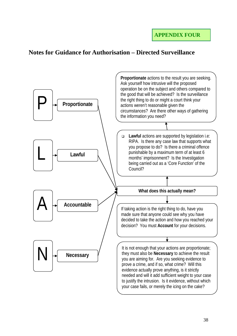### **Notes for Guidance for Authorisation – Directed Surveillance**

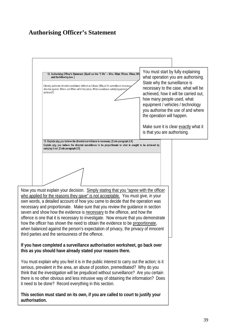### **Authorising Officer's Statement**

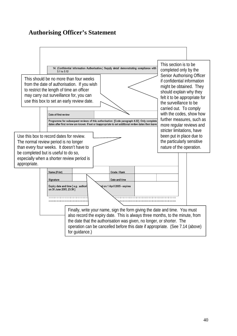### **Authorising Officer's Statement**

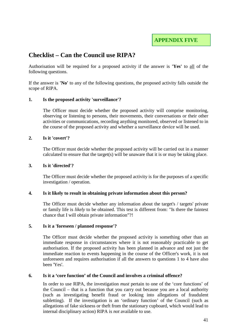**APPENDIX FIVE**

### **Checklist – Can the Council use RIPA?**

Authorisation will be required for a proposed activity if the answer is **'Yes'** to all of the following questions.

If the answer is **'No'** to any of the following questions, the proposed activity falls outside the scope of RIPA.

#### **1. Is the proposed activity 'surveillance'?**

The Officer must decide whether the proposed activity will comprise monitoring, observing or listening to persons, their movements, their conversations or their other activities or communications, recording anything monitored, observed or listened to in the course of the proposed activity and whether a surveillance device will be used.

#### **2. Is it 'covert'?**

The Officer must decide whether the proposed activity will be carried out in a manner calculated to ensure that the target(s) will be unaware that it is or may be taking place.

#### **3. Is it 'directed'?**

The Officer must decide whether the proposed activity is for the purposes of a specific investigation / operation.

#### **4. Is it likely to result in obtaining private information about this person?**

The Officer must decide whether any information about the target's / targets' private or family life is *likely* to be obtained. This test is different from: "Is there the faintest chance that I will obtain private information"?!

#### **5. Is it a 'foreseen / planned response'?**

The Officer must decide whether the proposed activity is something other than an immediate response in circumstances where it is not reasonably practicable to get authorisation. If the proposed activity has been planned in advance and not just the immediate reaction to events happening in the course of the Officer's work, it is not unforeseen and requires authorisation if all the answers to questions 1 to 4 have also been 'Yes'.

#### **6. Is it a 'core function' of the Council and involves a criminal offence?**

In order to use RIPA, the investigation *must* pertain to one of the 'core functions' of the Council – that is a function that you carry out because you are a local authority (such as investigating benefit fraud or looking into allegations of fraudulent subletting). If the investigation is an 'ordinary function' of the Council (such as allegations of fake sickness or theft from the stationary cupboard, which would lead to internal disciplinary action) RIPA is *not* available to use.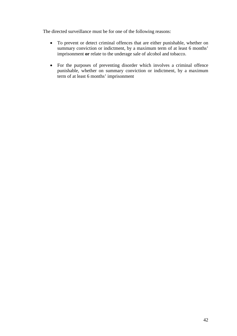The directed surveillance must be for one of the following reasons:

- To prevent or detect criminal offences that are either punishable, whether on summary conviction or indictment, by a maximum term of at least 6 months' imprisonment **or** relate to the underage sale of alcohol and tobacco.
- For the purposes of preventing disorder which involves a criminal offence punishable, whether on summary conviction or indictment, by a maximum term of at least 6 months' imprisonment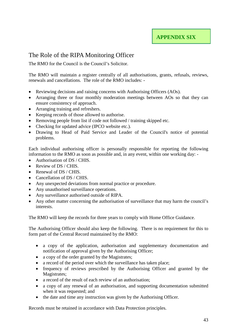### The Role of the RIPA Monitoring Officer

The RMO for the Council is the Council's Solicitor.

The RMO will maintain a register centrally of all authorisations, grants, refusals, reviews, renewals and cancellations. The role of the RMO includes: -

- Reviewing decisions and raising concerns with Authorising Officers (AOs).
- Arranging three or four monthly moderation meetings between AOs so that they can ensure consistency of approach.
- Arranging training and refreshers.
- Keeping records of those allowed to authorise.
- Removing people from list if code not followed / training skipped etc.
- Checking for updated advice (IPCO website etc.).
- Drawing to Head of Paid Service and Leader of the Council's notice of potential problems.

Each individual authorising officer is personally responsible for reporting the following information to the RMO as soon as possible and, in any event, within one working day: -

- Authorisation of DS / CHIS.
- Review of DS / CHIS.
- Renewal of DS / CHIS.
- Cancellation of DS / CHIS.
- Any unexpected deviations from normal practice or procedure.
- Any unauthorised surveillance operations.
- Any surveillance authorised outside of RIPA.
- Any other matter concerning the authorisation of surveillance that may harm the council's interests.

The RMO will keep the records for three years to comply with Home Office Guidance.

The Authorising Officer should also keep the following. There is no requirement for this to form part of the Central Record maintained by the RMO:

- a copy of the application, authorisation and supplementary documentation and notification of approval given by the Authorising Officer;
- a copy of the order granted by the Magistrates;
- a record of the period over which the surveillance has taken place;
- frequency of reviews prescribed by the Authorising Officer and granted by the Magistrates:
- a record of the result of each review of an authorisation;
- a copy of any renewal of an authorisation, and supporting documentation submitted when it was requested; and
- the date and time any instruction was given by the Authorising Officer.

Records must be retained in accordance with Data Protection principles.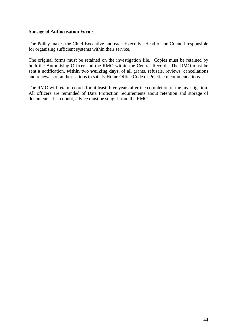#### **Storage of Authorisation Forms**

The Policy makes the Chief Executive and each Executive Head of the Council responsible for organising sufficient systems within their service.

The original forms must be retained on the investigation file. Copies must be retained by both the Authorising Officer and the RMO within the Central Record. The RMO must be sent a notification, **within two working days,** of all grants, refusals, reviews, cancellations and renewals of authorisations to satisfy Home Office Code of Practice recommendations.

The RMO will retain records for at least three years after the completion of the investigation. All officers are reminded of Data Protection requirements about retention and storage of documents. If in doubt, advice must be sought from the RMO.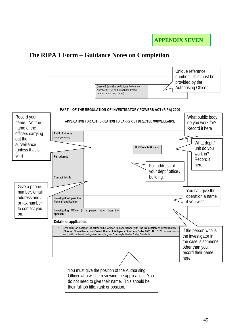## **The RIPA 1 Form – Guidance Notes on Completion**

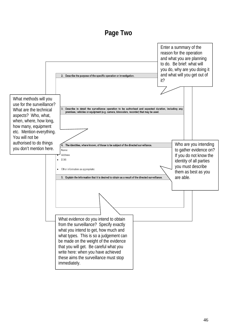# **Page Two**

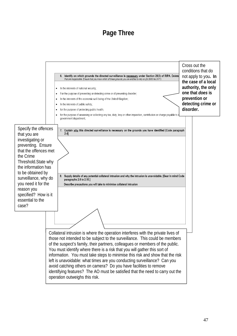# **Page Three**

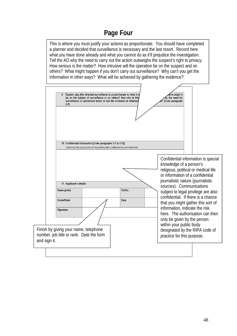# **Page Four**

This is where you must justify your actions as proportionate. You should have completed a planner and decided that surveillance is necessary and the last resort. Record here what you have done already and what you cannot do as it'll prejudice the investigation. Tell the AO why the need to carry out the action outweighs the suspect's right to privacy. How serious is the matter? How intrusive will the operation be on the suspect and on others? What might happen if you don't carry out surveillance? Why can't you get the information in other ways? What will be achieved by gathering the evidence?

![](_page_47_Figure_2.jpeg)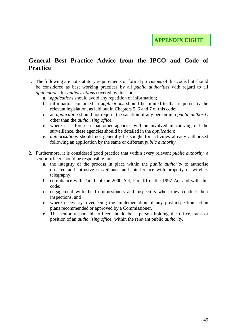### **General Best Practice Advice from the IPCO and Code of Practice**

- 1. The following are not statutory requirements or formal provisions of this code, but should be considered as best working practices by all *public authorities* with regard to all *applications* for *authorisations* covered by this code:
	- a. a*pplications* should avoid any repetition of information;
	- b. information contained in a*pplications* should be limited to that required by the relevant legislation, as laid out in Chapters 5, 6 and 7 of this code;
	- c. an *application* should not require the sanction of any person in a *public authority*  other than the *authorising officer*;
	- d. where it is foreseen that other agencies will be involved in carrying out the surveillance, these agencies should be detailed in the *application*;
	- e. *authorisations* should not generally be sought for activities already authorised following an application by the same or different *public authority*.
- 2. Furthermore, it is considered good practice that within every relevant *public authority,* a senior officer should be responsible for:
	- a. the integrity of the process in place within the *public authority* to authorise directed and intrusive surveillance and interference with property or wireless telegraphy;
	- b. compliance with Part II of the 2000 Act, Part III of the 1997 Act and with this code;
	- c. engagement with the Commissioners and inspectors when they conduct their inspections, and
	- d. where necessary, overseeing the implementation of any post-inspection action plans recommended or approved by a Commissioner.
	- e. The senior responsible officer should be a person holding the office, rank or position of an *authorising officer* within the relevant public *authority.*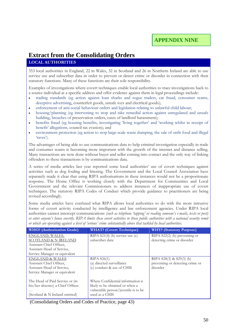# **Extract from the Consolidating Orders**

#### **LOCAL AUTHORITIES**

353 local authorities in England, 22 in Wales, 32 in Scotland and 26 in Northern Ireland are able to use service use and subscriber data in order to prevent or detect crime or disorder in connection with their statutory functions. Many of these functions are their sole responsibility.

Examples of investigations where covert techniques enable local authorities to trace investigations back to a source individual at a specific address and offer evidence against them in legal proceedings include:

- trading standards (eg action against loan sharks and rogue traders, car fraud, consumer scams, deceptive advertising, counterfeit goods, unsafe toys and electrical goods);
- enforcement of anti-social behaviour orders and legislation relating to unlawful child labour;
- housing/planning (eg intervening to stop and take remedial action against unregulated and unsafe building, breaches of preservation orders, cases of landlord harassment);
- benefits fraud (eg housing benefits, investigating 'living together' and 'working whilst in receipt of benefit' allegations, council tax evasion); and
- environment protection (eg action to stop large-scale waste dumping, the sale of unfit food and illegal 'raves').

The advantages of being able to use communications data to help criminal investigation especially in trade and consumer scams is becoming more important with the growth of the internet and distance selling. Many transactions are now done without buyer and seller coming into contact and the only way of linking offenders to these transactions is by communications data.

A series of media articles last year reported some local authorities' use of covert techniques against activities such as dog fouling and littering. The Government and the Local Council Association have separately made it clear that using RIPA authorisations in these instances would not be a proportionate response. The Home Office is working closely with the Department for Communities and Local Government and the relevant Commissioners to address instances of inappropriate use of covert techniques. The statutory RIPA Codes of Conduct which provide guidance to practitioners are being revised accordingly.

Some media articles have confused what RIPA allows local authorities to do with the more intrusive forms of covert activity conducted by intelligence and law enforcement agencies. Under RIPA local authorities cannot intercept communications *(such as telephone 'tapping' or reading someone's e-mails, texts or post) or enter anyone's house covertly. RIPA limits these covert activities to those public authorities with a national security remit or which are operating against a level of 'serious' crime substantially above that tackled by local authorities.* 

| <b>WHO?</b> (Authorisation Grade) | <b>WHAT?</b> (Covert Technique)     | <b>WHY?</b> (Statutory Purpose)  |
|-----------------------------------|-------------------------------------|----------------------------------|
| ENGLAND, WALES,                   | RIPA $S21(4)$ (b) service use (c)   | RIPA $S22(2)$ (b) preventing or  |
| <b>SCOTLAND &amp; N IRELAND</b>   | subscriber data                     | detecting crime or disorder      |
| Assistant Chief Officer,          |                                     |                                  |
| Assistant Head of Service,        |                                     |                                  |
| Service Manager or equivalent     |                                     |                                  |
| <b>ENGLAND &amp; WALES</b>        | RIPA S26(1)                         | RIPA S28(3) & S29(3) (b)         |
| Assistant Chief Officer,          | (a) directed surveillance           | preventing or detecting crime or |
| Assistant Head of Service,        | (c) conduct & use of CHIS           | disorder                         |
| Service Manager or equivalent     |                                     |                                  |
|                                   |                                     |                                  |
| The Head of Paid Service or (in   | Where Confidential information is   |                                  |
| his/her absence) a Chief Officer  | likely to be obtained or when a     |                                  |
|                                   | vulnerable person/juvenile is to be |                                  |
| (Scotland & N Ireland omitted)    | used as a CHIS                      |                                  |

(Consolidating Orders and Codes of Practice, page 43)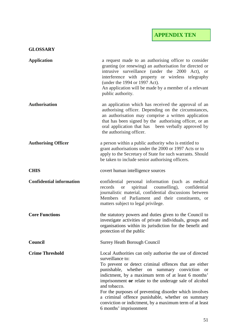**APPENDIX TEN**

#### **GLOSSARY**

| <b>Application</b>              | a request made to an authorising officer to consider<br>granting (or renewing) an authorisation for directed or<br>intrusive surveillance (under the 2000 Act), or<br>interference with property or wireless telegraphy<br>(under the 1994 or 1997 Act).<br>An application will be made by a member of a relevant<br>public authority.                                                                                                                                                                                         |
|---------------------------------|--------------------------------------------------------------------------------------------------------------------------------------------------------------------------------------------------------------------------------------------------------------------------------------------------------------------------------------------------------------------------------------------------------------------------------------------------------------------------------------------------------------------------------|
| <b>Authorisation</b>            | an application which has received the approval of an<br>authorising officer. Depending on the circumstances,<br>an authorisation may comprise a written application<br>that has been signed by the authorising officer, or an<br>oral application that has been verbally approved by<br>the authorising officer.                                                                                                                                                                                                               |
| <b>Authorising Officer</b>      | a person within a public authority who is entitled to<br>grant authorisations under the 2000 or 1997 Acts or to<br>apply to the Secretary of State for such warrants. Should<br>be taken to include senior authorising officers.                                                                                                                                                                                                                                                                                               |
| <b>CHIS</b>                     | covert human intelligence sources                                                                                                                                                                                                                                                                                                                                                                                                                                                                                              |
| <b>Confidential information</b> | confidential personal information (such as medical<br>spiritual<br>counselling),<br>confidential<br>records<br><b>or</b><br>journalistic material, confidential discussions between<br>Members of Parliament and their constituents, or<br>matters subject to legal privilege.                                                                                                                                                                                                                                                 |
| <b>Core Functions</b>           | the statutory powers and duties given to the Council to<br>investigate activities of private individuals, groups and<br>organisations within its jurisdiction for the benefit and<br>protection of the public                                                                                                                                                                                                                                                                                                                  |
| <b>Council</b>                  | <b>Surrey Heath Borough Council</b>                                                                                                                                                                                                                                                                                                                                                                                                                                                                                            |
| <b>Crime Threshold</b>          | Local Authorities can only authorise the use of directed<br>surveillance to:<br>To prevent or detect criminal offences that are either<br>punishable, whether on<br>summary conviction or<br>indictment, by a maximum term of at least 6 months'<br>imprisonment or relate to the underage sale of alcohol<br>and tobacco.<br>For the purposes of preventing disorder which involves<br>a criminal offence punishable, whether on summary<br>conviction or indictment, by a maximum term of at least<br>6 months' imprisonment |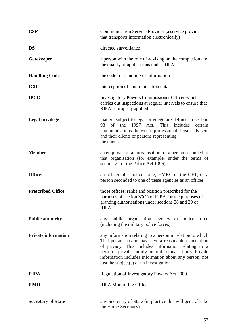| <b>CSP</b>                 | Communication Service Provider (a service provider<br>that transports information electronically)                                                                                                                                                                                                                                           |
|----------------------------|---------------------------------------------------------------------------------------------------------------------------------------------------------------------------------------------------------------------------------------------------------------------------------------------------------------------------------------------|
| <b>DS</b>                  | directed surveillance                                                                                                                                                                                                                                                                                                                       |
| <b>Gatekeeper</b>          | a person with the role of advising on the completion and<br>the quality of applications under RIPA                                                                                                                                                                                                                                          |
| <b>Handling Code</b>       | the code for handling of information                                                                                                                                                                                                                                                                                                        |
| <b>ICD</b>                 | interception of communication data                                                                                                                                                                                                                                                                                                          |
| <b>IPCO</b>                | Investigatory Powers Commissioner Officer which<br>carries out inspections at regular intervals to ensure that<br>RIPA is properly applied                                                                                                                                                                                                  |
| <b>Legal privilege</b>     | matters subject to legal privilege are defined in section<br>98<br>of<br>the 1997 Act. This includes<br>certain<br>communications between professional legal advisers<br>and their clients or persons representing<br>the client.                                                                                                           |
| <b>Member</b>              | an employee of an organisation, or a person seconded to<br>that organisation (for example, under the terms of<br>section 24 of the Police Act 1996).                                                                                                                                                                                        |
| <b>Officer</b>             | an officer of a police force, HMRC or the OFT, or a<br>person seconded to one of these agencies as an officer.                                                                                                                                                                                                                              |
| <b>Prescribed Office</b>   | those offices, ranks and position prescribed for the<br>purposes of section $30(1)$ of RIPA for the purposes of<br>granting authorisations under sections 28 and 29 of<br><b>RIPA</b>                                                                                                                                                       |
| <b>Public authority</b>    | any public organisation, agency or police force<br>(including the military police forces).                                                                                                                                                                                                                                                  |
| <b>Private information</b> | any information relating to a person in relation to which<br>That person has or may have a reasonable expectation<br>of privacy. This includes information relating to a<br>person's private, family or professional affairs. Private<br>information includes information about any person, not<br>just the subject(s) of an investigation. |
| <b>RIPA</b>                | Regulation of Investigatory Powers Act 2000                                                                                                                                                                                                                                                                                                 |
| <b>RMO</b>                 | <b>RIPA Monitoring Officer</b>                                                                                                                                                                                                                                                                                                              |
| <b>Secretary of State</b>  | any Secretary of State (in practice this will generally be<br>the Home Secretary).                                                                                                                                                                                                                                                          |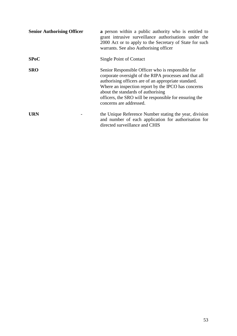| <b>Senior Authorising Officer</b> | a person within a public authority who is entitled to<br>grant intrusive surveillance authorisations under the<br>2000 Act or to apply to the Secretary of State for such<br>warrants. See also Authorising officer                                                                                                                                   |
|-----------------------------------|-------------------------------------------------------------------------------------------------------------------------------------------------------------------------------------------------------------------------------------------------------------------------------------------------------------------------------------------------------|
| SPoC                              | Single Point of Contact                                                                                                                                                                                                                                                                                                                               |
| <b>SRO</b>                        | Senior Responsible Officer who is responsible for<br>corporate oversight of the RIPA processes and that all<br>authorising officers are of an appropriate standard.<br>Where an inspection report by the IPCO has concerns<br>about the standards of authorising<br>officers, the SRO will be responsible for ensuring the<br>concerns are addressed. |
| <b>URN</b>                        | the Unique Reference Number stating the year, division<br>and number of each application for authorisation for<br>directed surveillance and CHIS                                                                                                                                                                                                      |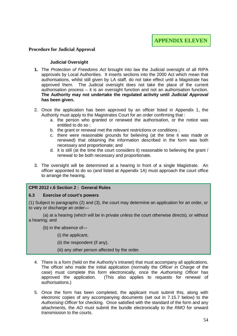#### **Procedure for Judicial Approval**

#### **Judicial Oversight**

- **1.** The *Protection of Freedoms Act* brought into law the Judicial oversight of all RIPA approvals by Local Authorities. It inserts sections into the 2000 Act which mean that authorisations, whilst still given by LA staff, do not take effect until a Magistrate has approved them. The Judicial oversight does not take the place of the current authorisation process – it is an oversight function and not an authorisation function. **The Authority may not undertake the regulated activity until** *Judicial Approval* **has been given.**
- 2. Once the application has been approved by an officer listed in Appendix 1, the Authority must apply to the Magistrates Court for an order confirming that :
	- a. the person who granted or renewed the authorisation, or the notice was entitled to do so ;
	- b. the grant or renewal met the relevant restrictions or conditions ;
	- c. there were reasonable grounds for believing (at the time it was made or renewed) that obtaining the information described in the form was both necessary and proportionate; and
	- d. it is still (at the time the court considers it) reasonable to believing the grant / renewal to be both necessary and proportionate.
- 3. The oversight will be determined at a hearing in front of a single Magistrate. An officer appointed to do so (and listed at Appendix 1A) must approach the court office to arrange the hearing.

#### **CPR 2012 r.6 Section 2 : General Rules**

#### **6.3 Exercise of court's powers**

(1) Subject to paragraphs (2) and (3), the court may determine an application for an order, or to vary or discharge an order-

(a) at a hearing (which will be in private unless the court otherwise directs), or without a hearing; and

(b) in the absence of—

(i) the applicant,

(ii) the respondent (if any),

(iii) any other person affected by the order.

- 4. There is a form (held on the Authority's intranet) that must accompany all applications. The officer who made the initial application (normally the *Officer in Charge* of the case) must complete this form electronically, once the *Authorising Officer* has approved the application. (This also applies to requests for renewal of authorisations.)
- 5. Once the form has been completed, the applicant must submit this, along with electronic copies of any accompanying documents (set out in 7.15.7 below) to the *Authorising Officer* for checking. Once satisfied with the standard of the form and any attachments, the *AO* must submit the bundle electronically to the *RMO* for onward transmission to the courts.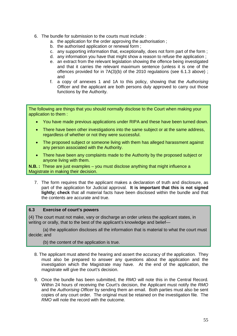- 6. The bundle for submission to the courts must include :
	- a. the application for the order approving the authorisation ;
	- b. the authorised application or renewal form ;
	- c. any supporting information that, exceptionally, does not form part of the form ;
	- d. any information you have that might show a reason to refuse the application ;
	- e. an extract from the relevant legislation showing the offence being investigated and that it carries the relevant maximum sentence (unless it is one of the offences provided for in 7A(3)(b) of the 2010 regulations (see 6.1.3 above) ; and
	- f. a copy of annexes 1 and 1A to this policy, showing that the *Authorising Officer* and the applicant are both persons duly approved to carry out those functions by the Authority.

The following are things that you should normally disclose to the Court when making your application to them :

- You have made previous applications under RIPA and these have been turned down.
- There have been other investigations into the same subject or at the same address, regardless of whether or not they were successful.
- The proposed subject or someone living with them has alleged harassment against any person associated with the Authority.
- There have been any complaints made to the Authority by the proposed subject or anyone living with them.

**N.B. :** These are just examples – you must disclose anything that might influence a Magistrate in making their decision.

7. The form requires that the applicant makes a declaration of truth and disclosure, as part of the application for Judicial approval. **It is important that this is not signed lightly; check** that all material facts have been disclosed within the bundle and that the contents are accurate and true.

#### **6.3 Exercise of court's powers**

(4) The court must not make, vary or discharge an order unless the applicant states, in writing or orally, that to the best of the applicant's knowledge and belief—

(a) the application discloses all the information that is material to what the court must decide; and

(b) the content of the application is true.

- 8. The applicant must attend the hearing and assert the accuracy of the application. They must also be prepared to answer any questions about the application and the investigation which the Magistrate may have. At the end of the application, the magistrate will give the court's decision.
- 9. Once the bundle has been submitted, the *RMO* will note this in the Central Record. Within 24 hours of receiving the Court's decision, the Applicant must notify the *RMO*  and the *Authorising Officer* by sending them an email. Both parties must also be sent copies of any court order. The original must be retained on the investigation file*.* The *RMO* will note the record with the outcome.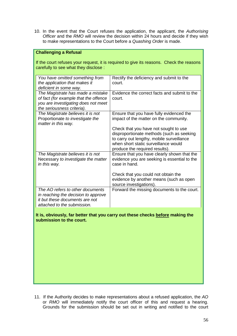10. In the event that the Court refuses the application, the applicant, the *Authorising Officer* and the *RMO* will review the decision within 24 hours and decide if they wish to make representations to the Court before a *Quashing Order* is made.

#### **Challenging a Refusal**

If the court refuses your request, it is required to give its reasons. Check the reasons carefully to see what they disclose :

| You have omitted something from<br>the application that makes it<br>deficient in some way.                                                      | Rectify the deficiency and submit to the<br>court.                                                                                                                                                        |
|-------------------------------------------------------------------------------------------------------------------------------------------------|-----------------------------------------------------------------------------------------------------------------------------------------------------------------------------------------------------------|
| The Magistrate has made a mistake<br>of fact (for example that the offence<br>you are investigating does not meet<br>the seriousness criteria). | Evidence the correct facts and submit to the<br>court.                                                                                                                                                    |
| The Magistrate believes it is not<br>Proportionate to investigate the<br>matter in this way.                                                    | Ensure that you have fully evidenced the<br>impact of the matter on the community.                                                                                                                        |
|                                                                                                                                                 | Check that you have not sought to use<br>disproportionate methods (such as seeking<br>to carry out lengthy, mobile surveillance<br>when short static surveillance would<br>produce the required results). |
| The Magistrate believes it is not<br>Necessary to investigate the matter<br>in this way.                                                        | Ensure that you have clearly shown that the<br>evidence you are seeking is essential to the<br>case in hand.                                                                                              |
|                                                                                                                                                 | Check that you could not obtain the<br>evidence by another means (such as open<br>source investigations).                                                                                                 |
| The AO refers to other documents<br>in reaching the decision to approve<br>it but these documents are not<br>attached to the submission.        | Forward the missing documents to the court.                                                                                                                                                               |

**It is, obviously, far better that you carry out these checks before making the submission to the court.**

11. If the Authority decides to make representations about a refused application, the *AO* or *RMO* will immediately notify the court officer of this and request a hearing. Grounds for the submission should be set out in writing and notified to the court